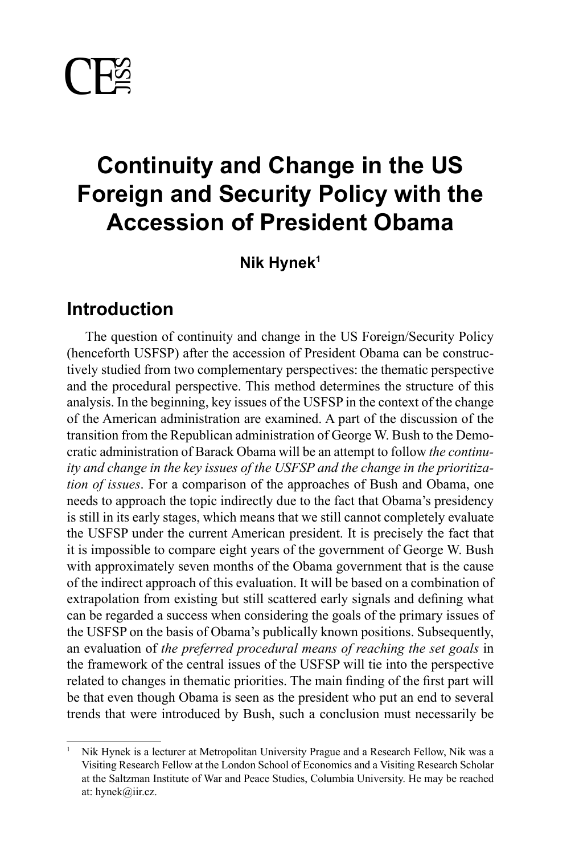

# **Continuity and Change in the US Foreign and Security Policy with the Accession of President Obama**

**Nik Hynek1**

# **Introduction**

The question of continuity and change in the US Foreign/Security Policy (henceforth USFSP) after the accession of President Obama can be constructively studied from two complementary perspectives: the thematic perspective and the procedural perspective. This method determines the structure of this analysis. In the beginning, key issues of the USFSP in the context of the change of the American administration are examined. A part of the discussion of the transition from the Republican administration of George W. Bush to the Democratic administration of Barack Obama will be an attempt to follow *the continuity and change in the key issues of the USFSP and the change in the prioritization of issues*. For a comparison of the approaches of Bush and Obama, one needs to approach the topic indirectly due to the fact that Obama's presidency is still in its early stages, which means that we still cannot completely evaluate the USFSP under the current American president. It is precisely the fact that it is impossible to compare eight years of the government of George W. Bush with approximately seven months of the Obama government that is the cause of the indirect approach of this evaluation. It will be based on a combination of extrapolation from existing but still scattered early signals and defining what can be regarded a success when considering the goals of the primary issues of the USFSP on the basis of Obama's publically known positions. Subsequently, an evaluation of *the preferred procedural means of reaching the set goals* in the framework of the central issues of the USFSP will tie into the perspective related to changes in thematic priorities. The main finding of the first part will be that even though Obama is seen as the president who put an end to several trends that were introduced by Bush, such a conclusion must necessarily be

<sup>1</sup> Nik Hynek is a lecturer at Metropolitan University Prague and a Research Fellow, Nik was a Visiting Research Fellow at the London School of Economics and a Visiting Research Scholar at the Saltzman Institute of War and Peace Studies, Columbia University. He may be reached at: hynek@iir.cz.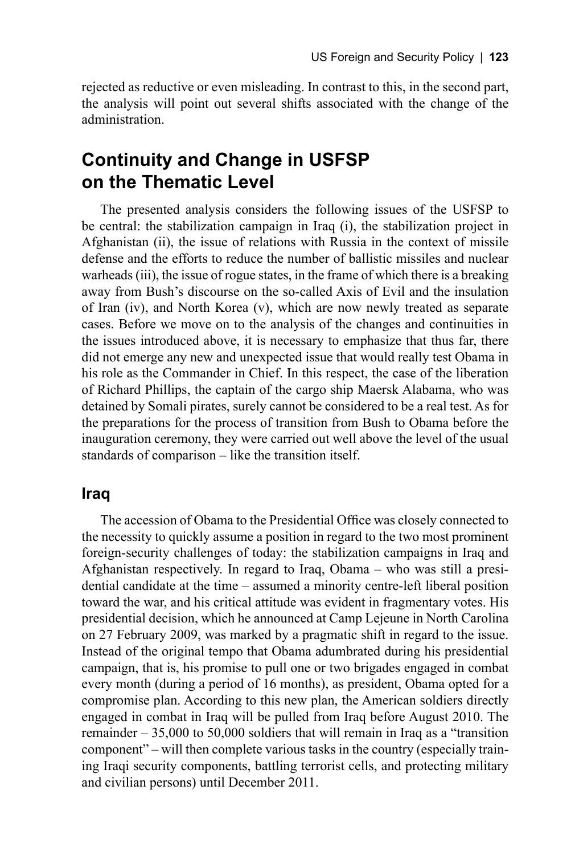rejected as reductive or even misleading. In contrast to this, in the second part, the analysis will point out several shifts associated with the change of the administration.

# **Continuity and Change in USFSP on the Thematic Level**

The presented analysis considers the following issues of the USFSP to be central: the stabilization campaign in Iraq (i), the stabilization project in Afghanistan (ii), the issue of relations with Russia in the context of missile defense and the efforts to reduce the number of ballistic missiles and nuclear warheads (iii), the issue of rogue states, in the frame of which there is a breaking away from Bush's discourse on the so-called Axis of Evil and the insulation of Iran (iv), and North Korea (v), which are now newly treated as separate cases. Before we move on to the analysis of the changes and continuities in the issues introduced above, it is necessary to emphasize that thus far, there did not emerge any new and unexpected issue that would really test Obama in his role as the Commander in Chief. In this respect, the case of the liberation of Richard Phillips, the captain of the cargo ship Maersk Alabama, who was detained by Somali pirates, surely cannot be considered to be a real test. As for the preparations for the process of transition from Bush to Obama before the inauguration ceremony, they were carried out well above the level of the usual standards of comparison – like the transition itself.

#### **Iraq**

The accession of Obama to the Presidential Office was closely connected to the necessity to quickly assume a position in regard to the two most prominent foreign-security challenges of today: the stabilization campaigns in Iraq and Afghanistan respectively. In regard to Iraq, Obama – who was still a presidential candidate at the time – assumed a minority centre-left liberal position toward the war, and his critical attitude was evident in fragmentary votes. His presidential decision, which he announced at Camp Lejeune in North Carolina on 27 February 2009, was marked by a pragmatic shift in regard to the issue. Instead of the original tempo that Obama adumbrated during his presidential campaign, that is, his promise to pull one or two brigades engaged in combat every month (during a period of 16 months), as president, Obama opted for a compromise plan. According to this new plan, the American soldiers directly engaged in combat in Iraq will be pulled from Iraq before August 2010. The remainder  $-35,000$  to 50,000 soldiers that will remain in Iraq as a "transition" component" – will then complete various tasks in the country (especially training Iraqi security components, battling terrorist cells, and protecting military and civilian persons) until December 2011.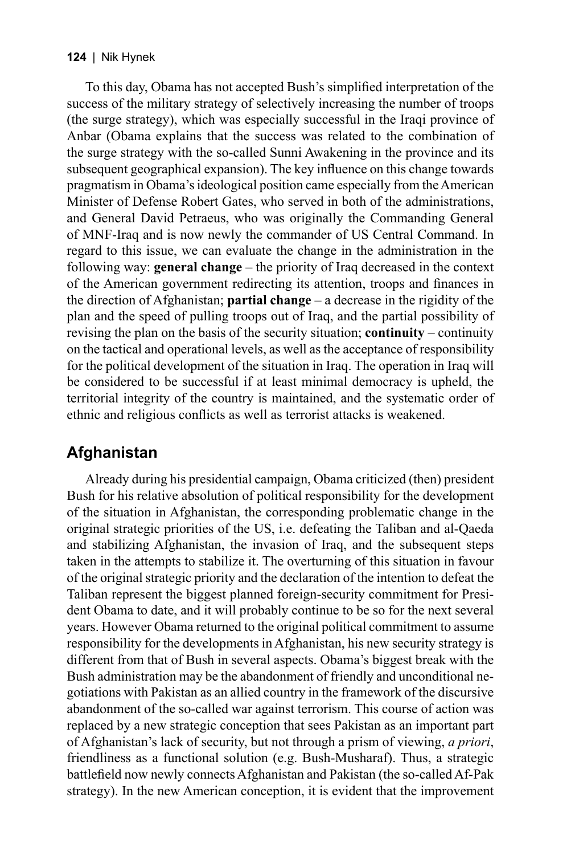To this day, Obama has not accepted Bush's simplified interpretation of the success of the military strategy of selectively increasing the number of troops (the surge strategy), which was especially successful in the Iraqi province of Anbar (Obama explains that the success was related to the combination of the surge strategy with the so-called Sunni Awakening in the province and its subsequent geographical expansion). The key influence on this change towards pragmatism in Obama's ideological position came especially from the American Minister of Defense Robert Gates, who served in both of the administrations, and General David Petraeus, who was originally the Commanding General of MNF-Iraq and is now newly the commander of US Central Command. In regard to this issue, we can evaluate the change in the administration in the following way: **general change** – the priority of Iraq decreased in the context of the American government redirecting its attention, troops and finances in the direction of Afghanistan; **partial change** – a decrease in the rigidity of the plan and the speed of pulling troops out of Iraq, and the partial possibility of revising the plan on the basis of the security situation; **continuity** – continuity on the tactical and operational levels, as well as the acceptance of responsibility for the political development of the situation in Iraq. The operation in Iraq will be considered to be successful if at least minimal democracy is upheld, the territorial integrity of the country is maintained, and the systematic order of ethnic and religious conflicts as well as terrorist attacks is weakened.

## **Afghanistan**

Already during his presidential campaign, Obama criticized (then) president Bush for his relative absolution of political responsibility for the development of the situation in Afghanistan, the corresponding problematic change in the original strategic priorities of the US, i.e. defeating the Taliban and al-Qaeda and stabilizing Afghanistan, the invasion of Iraq, and the subsequent steps taken in the attempts to stabilize it. The overturning of this situation in favour of the original strategic priority and the declaration of the intention to defeat the Taliban represent the biggest planned foreign-security commitment for President Obama to date, and it will probably continue to be so for the next several years. However Obama returned to the original political commitment to assume responsibility for the developments in Afghanistan, his new security strategy is different from that of Bush in several aspects. Obama's biggest break with the Bush administration may be the abandonment of friendly and unconditional negotiations with Pakistan as an allied country in the framework of the discursive abandonment of the so-called war against terrorism. This course of action was replaced by a new strategic conception that sees Pakistan as an important part of Afghanistan's lack of security, but not through a prism of viewing, *a priori*, friendliness as a functional solution (e.g. Bush-Musharaf). Thus, a strategic battlefield now newly connects Afghanistan and Pakistan (the so-called Af-Pak strategy). In the new American conception, it is evident that the improvement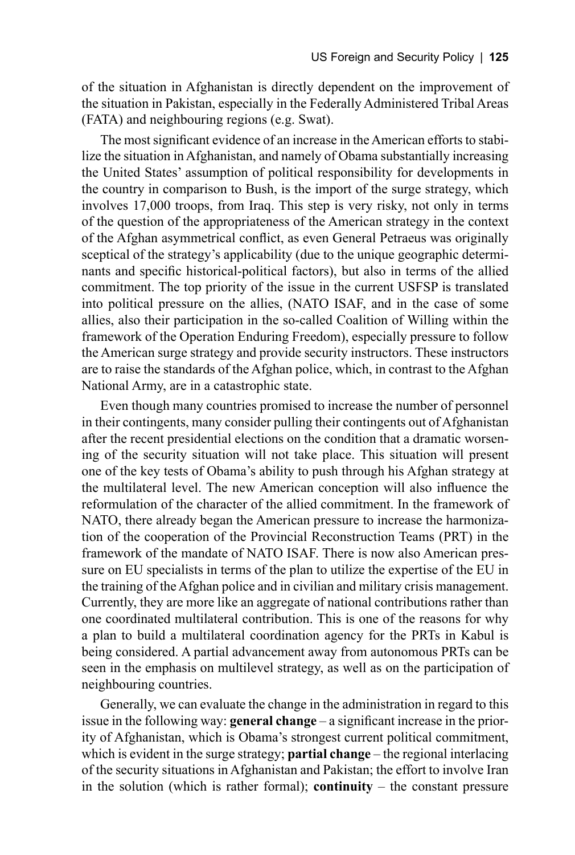of the situation in Afghanistan is directly dependent on the improvement of the situation in Pakistan, especially in the Federally Administered Tribal Areas (FATA) and neighbouring regions (e.g. Swat).

The most significant evidence of an increase in the American efforts to stabilize the situation in Afghanistan, and namely of Obama substantially increasing the United States' assumption of political responsibility for developments in the country in comparison to Bush, is the import of the surge strategy, which involves 17,000 troops, from Iraq. This step is very risky, not only in terms of the question of the appropriateness of the American strategy in the context of the Afghan asymmetrical conflict, as even General Petraeus was originally sceptical of the strategy's applicability (due to the unique geographic determinants and specific historical-political factors), but also in terms of the allied commitment. The top priority of the issue in the current USFSP is translated into political pressure on the allies, (NATO ISAF, and in the case of some allies, also their participation in the so-called Coalition of Willing within the framework of the Operation Enduring Freedom), especially pressure to follow the American surge strategy and provide security instructors. These instructors are to raise the standards of the Afghan police, which, in contrast to the Afghan National Army, are in a catastrophic state.

Even though many countries promised to increase the number of personnel in their contingents, many consider pulling their contingents out of Afghanistan after the recent presidential elections on the condition that a dramatic worsening of the security situation will not take place. This situation will present one of the key tests of Obama's ability to push through his Afghan strategy at the multilateral level. The new American conception will also influence the reformulation of the character of the allied commitment. In the framework of NATO, there already began the American pressure to increase the harmonization of the cooperation of the Provincial Reconstruction Teams (PRT) in the framework of the mandate of NATO ISAF. There is now also American pressure on EU specialists in terms of the plan to utilize the expertise of the EU in the training of the Afghan police and in civilian and military crisis management. Currently, they are more like an aggregate of national contributions rather than one coordinated multilateral contribution. This is one of the reasons for why a plan to build a multilateral coordination agency for the PRTs in Kabul is being considered. A partial advancement away from autonomous PRTs can be seen in the emphasis on multilevel strategy, as well as on the participation of neighbouring countries.

Generally, we can evaluate the change in the administration in regard to this issue in the following way: **general change** – a significant increase in the priority of Afghanistan, which is Obama's strongest current political commitment, which is evident in the surge strategy; **partial change** – the regional interlacing of the security situations in Afghanistan and Pakistan; the effort to involve Iran in the solution (which is rather formal); **continuity**  $-$  the constant pressure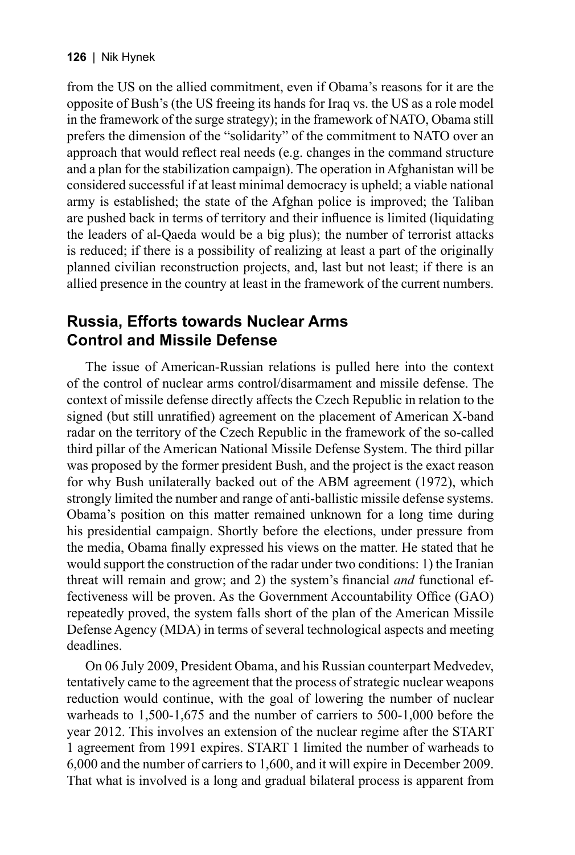from the US on the allied commitment, even if Obama's reasons for it are the opposite of Bush's (the US freeing its hands for Iraq vs. the US as a role model in the framework of the surge strategy); in the framework of NATO, Obama still prefers the dimension of the "solidarity" of the commitment to NATO over an approach that would reflect real needs  $(e.g., changes in the command structure)$ and a plan for the stabilization campaign). The operation in Afghanistan will be considered successful if at least minimal democracy is upheld; a viable national army is established; the state of the Afghan police is improved; the Taliban are pushed back in terms of territory and their influence is limited (liquidating the leaders of al-Qaeda would be a big plus); the number of terrorist attacks is reduced; if there is a possibility of realizing at least a part of the originally planned civilian reconstruction projects, and, last but not least; if there is an allied presence in the country at least in the framework of the current numbers.

### **Russia, Efforts towards Nuclear Arms Control and Missile Defense**

The issue of American-Russian relations is pulled here into the context of the control of nuclear arms control/disarmament and missile defense. The context of missile defense directly affects the Czech Republic in relation to the signed (but still unratified) agreement on the placement of American X-band radar on the territory of the Czech Republic in the framework of the so-called third pillar of the American National Missile Defense System. The third pillar was proposed by the former president Bush, and the project is the exact reason for why Bush unilaterally backed out of the ABM agreement (1972), which strongly limited the number and range of anti-ballistic missile defense systems. Obama's position on this matter remained unknown for a long time during his presidential campaign. Shortly before the elections, under pressure from the media, Obama finally expressed his views on the matter. He stated that he would support the construction of the radar under two conditions: 1) the Iranian threat will remain and grow; and 2) the system's financial *and* functional effectiveness will be proven. As the Government Accountability Office (GAO) repeatedly proved, the system falls short of the plan of the American Missile Defense Agency (MDA) in terms of several technological aspects and meeting deadlines.

On 06 July 2009, President Obama, and his Russian counterpart Medvedev, tentatively came to the agreement that the process of strategic nuclear weapons reduction would continue, with the goal of lowering the number of nuclear warheads to 1,500-1,675 and the number of carriers to 500-1,000 before the year 2012. This involves an extension of the nuclear regime after the START 1 agreement from 1991 expires. START 1 limited the number of warheads to 6,000 and the number of carriers to 1,600, and it will expire in December 2009. That what is involved is a long and gradual bilateral process is apparent from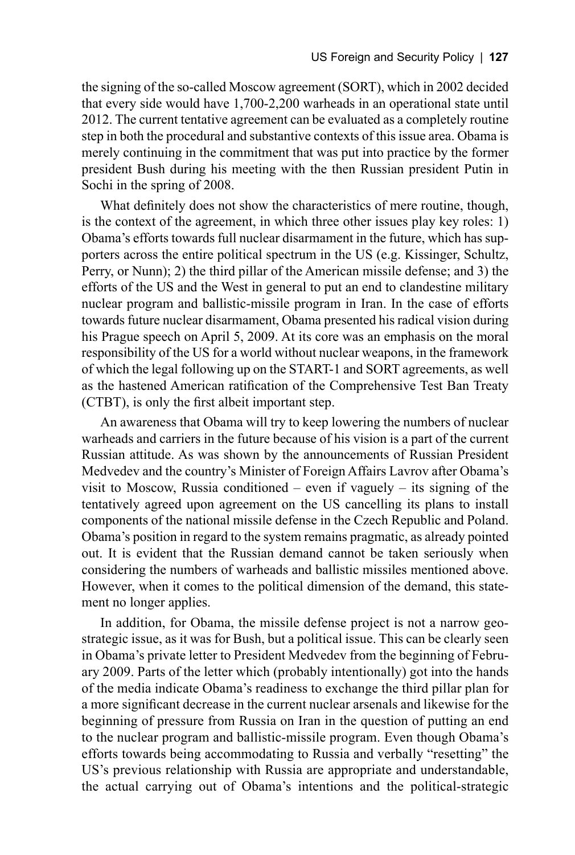the signing of the so-called Moscow agreement (SORT), which in 2002 decided that every side would have 1,700-2,200 warheads in an operational state until 2012. The current tentative agreement can be evaluated as a completely routine step in both the procedural and substantive contexts of this issue area. Obama is merely continuing in the commitment that was put into practice by the former president Bush during his meeting with the then Russian president Putin in Sochi in the spring of 2008.

What definitely does not show the characteristics of mere routine, though, is the context of the agreement, in which three other issues play key roles: 1) Obama's efforts towards full nuclear disarmament in the future, which has supporters across the entire political spectrum in the US (e.g. Kissinger, Schultz, Perry, or Nunn); 2) the third pillar of the American missile defense; and 3) the efforts of the US and the West in general to put an end to clandestine military nuclear program and ballistic-missile program in Iran. In the case of efforts towards future nuclear disarmament, Obama presented his radical vision during his Prague speech on April 5, 2009. At its core was an emphasis on the moral responsibility of the US for a world without nuclear weapons, in the framework of which the legal following up on the START-1 and SORT agreements, as well as the hastened American ratification of the Comprehensive Test Ban Treaty (CTBT), is only the first albeit important step.

An awareness that Obama will try to keep lowering the numbers of nuclear warheads and carriers in the future because of his vision is a part of the current Russian attitude. As was shown by the announcements of Russian President Medvedev and the country's Minister of Foreign Affairs Lavrov after Obama's visit to Moscow, Russia conditioned – even if vaguely – its signing of the tentatively agreed upon agreement on the US cancelling its plans to install components of the national missile defense in the Czech Republic and Poland. Obama's position in regard to the system remains pragmatic, as already pointed out. It is evident that the Russian demand cannot be taken seriously when considering the numbers of warheads and ballistic missiles mentioned above. However, when it comes to the political dimension of the demand, this statement no longer applies.

In addition, for Obama, the missile defense project is not a narrow geostrategic issue, as it was for Bush, but a political issue. This can be clearly seen in Obama's private letter to President Medvedev from the beginning of February 2009. Parts of the letter which (probably intentionally) got into the hands of the media indicate Obama's readiness to exchange the third pillar plan for a more significant decrease in the current nuclear arsenals and likewise for the beginning of pressure from Russia on Iran in the question of putting an end to the nuclear program and ballistic-missile program. Even though Obama's efforts towards being accommodating to Russia and verbally "resetting" the US's previous relationship with Russia are appropriate and understandable, the actual carrying out of Obama's intentions and the political-strategic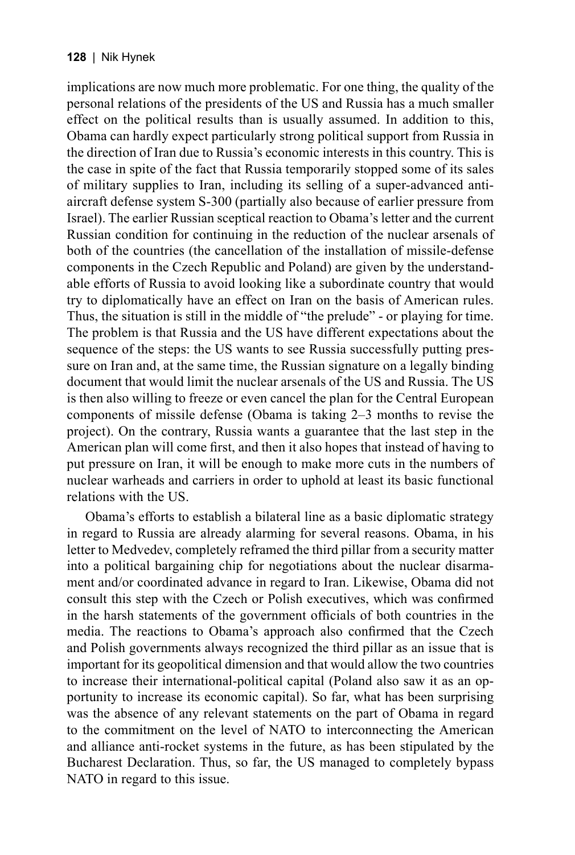implications are now much more problematic. For one thing, the quality of the personal relations of the presidents of the US and Russia has a much smaller effect on the political results than is usually assumed. In addition to this, Obama can hardly expect particularly strong political support from Russia in the direction of Iran due to Russia's economic interests in this country. This is the case in spite of the fact that Russia temporarily stopped some of its sales of military supplies to Iran, including its selling of a super-advanced antiaircraft defense system S-300 (partially also because of earlier pressure from Israel). The earlier Russian sceptical reaction to Obama's letter and the current Russian condition for continuing in the reduction of the nuclear arsenals of both of the countries (the cancellation of the installation of missile-defense components in the Czech Republic and Poland) are given by the understandable efforts of Russia to avoid looking like a subordinate country that would try to diplomatically have an effect on Iran on the basis of American rules. Thus, the situation is still in the middle of "the prelude" - or playing for time. The problem is that Russia and the US have different expectations about the sequence of the steps: the US wants to see Russia successfully putting pressure on Iran and, at the same time, the Russian signature on a legally binding document that would limit the nuclear arsenals of the US and Russia. The US is then also willing to freeze or even cancel the plan for the Central European components of missile defense (Obama is taking 2–3 months to revise the project). On the contrary, Russia wants a guarantee that the last step in the American plan will come first, and then it also hopes that instead of having to put pressure on Iran, it will be enough to make more cuts in the numbers of nuclear warheads and carriers in order to uphold at least its basic functional relations with the US.

Obama's efforts to establish a bilateral line as a basic diplomatic strategy in regard to Russia are already alarming for several reasons. Obama, in his letter to Medvedev, completely reframed the third pillar from a security matter into a political bargaining chip for negotiations about the nuclear disarmament and/or coordinated advance in regard to Iran. Likewise, Obama did not consult this step with the Czech or Polish executives, which was confirmed in the harsh statements of the government officials of both countries in the media. The reactions to Obama's approach also confirmed that the Czech and Polish governments always recognized the third pillar as an issue that is important for its geopolitical dimension and that would allow the two countries to increase their international-political capital (Poland also saw it as an opportunity to increase its economic capital). So far, what has been surprising was the absence of any relevant statements on the part of Obama in regard to the commitment on the level of NATO to interconnecting the American and alliance anti-rocket systems in the future, as has been stipulated by the Bucharest Declaration. Thus, so far, the US managed to completely bypass NATO in regard to this issue.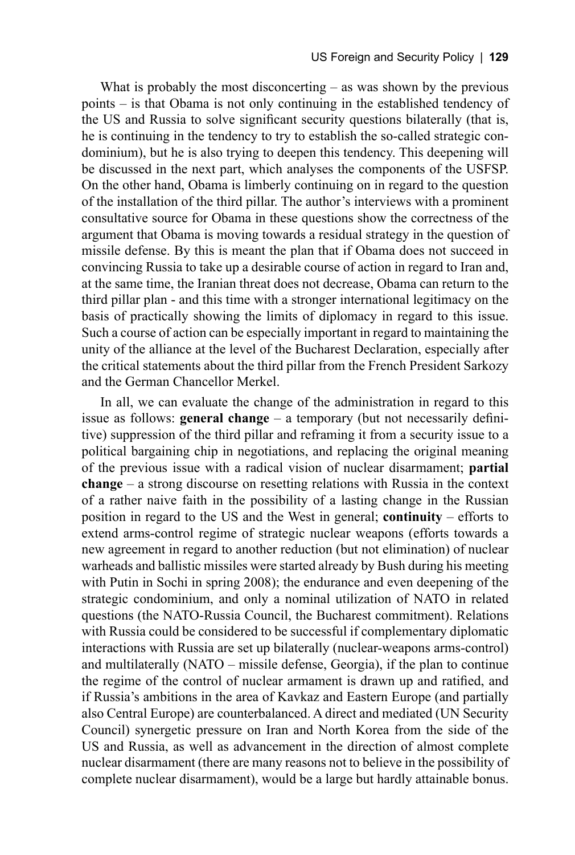What is probably the most disconcerting – as was shown by the previous points – is that Obama is not only continuing in the established tendency of the US and Russia to solve significant security questions bilaterally (that is, he is continuing in the tendency to try to establish the so-called strategic condominium), but he is also trying to deepen this tendency. This deepening will be discussed in the next part, which analyses the components of the USFSP. On the other hand, Obama is limberly continuing on in regard to the question of the installation of the third pillar. The author's interviews with a prominent consultative source for Obama in these questions show the correctness of the argument that Obama is moving towards a residual strategy in the question of missile defense. By this is meant the plan that if Obama does not succeed in convincing Russia to take up a desirable course of action in regard to Iran and, at the same time, the Iranian threat does not decrease, Obama can return to the third pillar plan - and this time with a stronger international legitimacy on the basis of practically showing the limits of diplomacy in regard to this issue. Such a course of action can be especially important in regard to maintaining the unity of the alliance at the level of the Bucharest Declaration, especially after the critical statements about the third pillar from the French President Sarkozy and the German Chancellor Merkel.

In all, we can evaluate the change of the administration in regard to this issue as follows: **general change**  $-$  a temporary (but not necessarily definitive) suppression of the third pillar and reframing it from a security issue to a political bargaining chip in negotiations, and replacing the original meaning of the previous issue with a radical vision of nuclear disarmament; **partial change** – a strong discourse on resetting relations with Russia in the context of a rather naive faith in the possibility of a lasting change in the Russian position in regard to the US and the West in general; **continuity** – efforts to extend arms-control regime of strategic nuclear weapons (efforts towards a new agreement in regard to another reduction (but not elimination) of nuclear warheads and ballistic missiles were started already by Bush during his meeting with Putin in Sochi in spring 2008); the endurance and even deepening of the strategic condominium, and only a nominal utilization of NATO in related questions (the NATO-Russia Council, the Bucharest commitment). Relations with Russia could be considered to be successful if complementary diplomatic interactions with Russia are set up bilaterally (nuclear-weapons arms-control) and multilaterally (NATO – missile defense, Georgia), if the plan to continue the regime of the control of nuclear armament is drawn up and ratified, and if Russia's ambitions in the area of Kavkaz and Eastern Europe (and partially also Central Europe) are counterbalanced. A direct and mediated (UN Security Council) synergetic pressure on Iran and North Korea from the side of the US and Russia, as well as advancement in the direction of almost complete nuclear disarmament (there are many reasons not to believe in the possibility of complete nuclear disarmament), would be a large but hardly attainable bonus.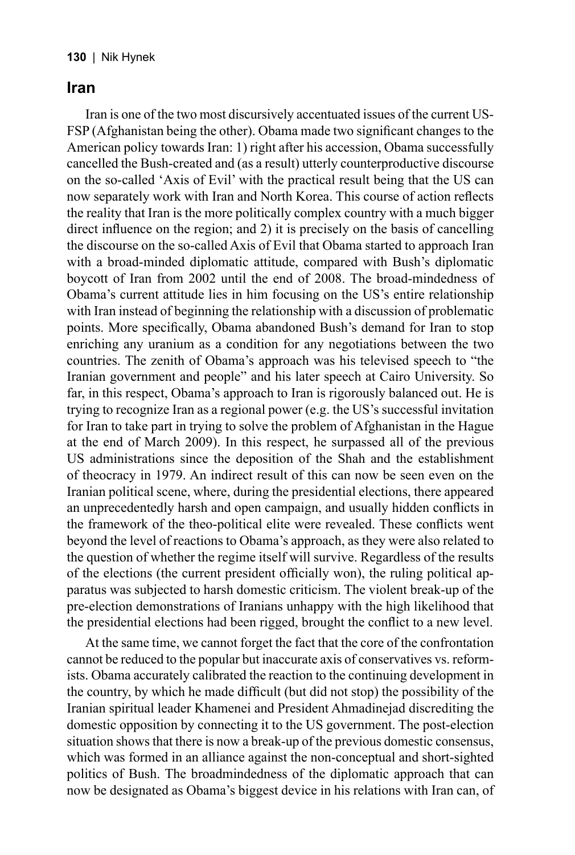#### **Iran**

Iran is one of the two most discursively accentuated issues of the current US-FSP (Afghanistan being the other). Obama made two significant changes to the American policy towards Iran: 1) right after his accession, Obama successfully cancelled the Bush-created and (as a result) utterly counterproductive discourse on the so-called 'Axis of Evil' with the practical result being that the US can now separately work with Iran and North Korea. This course of action reflects the reality that Iran is the more politically complex country with a much bigger direct influence on the region; and  $2$ ) it is precisely on the basis of cancelling the discourse on the so-called Axis of Evil that Obama started to approach Iran with a broad-minded diplomatic attitude, compared with Bush's diplomatic boycott of Iran from 2002 until the end of 2008. The broad-mindedness of Obama's current attitude lies in him focusing on the US's entire relationship with Iran instead of beginning the relationship with a discussion of problematic points. More specifically, Obama abandoned Bush's demand for Iran to stop enriching any uranium as a condition for any negotiations between the two countries. The zenith of Obama's approach was his televised speech to "the Iranian government and people" and his later speech at Cairo University. So far, in this respect, Obama's approach to Iran is rigorously balanced out. He is trying to recognize Iran as a regional power (e.g. the US's successful invitation for Iran to take part in trying to solve the problem of Afghanistan in the Hague at the end of March 2009). In this respect, he surpassed all of the previous US administrations since the deposition of the Shah and the establishment of theocracy in 1979. An indirect result of this can now be seen even on the Iranian political scene, where, during the presidential elections, there appeared an unprecedentedly harsh and open campaign, and usually hidden conflicts in the framework of the theo-political elite were revealed. These conflicts went beyond the level of reactions to Obama's approach, as they were also related to the question of whether the regime itself will survive. Regardless of the results of the elections (the current president officially won), the ruling political apparatus was subjected to harsh domestic criticism. The violent break-up of the pre-election demonstrations of Iranians unhappy with the high likelihood that the presidential elections had been rigged, brought the conflict to a new level.

At the same time, we cannot forget the fact that the core of the confrontation cannot be reduced to the popular but inaccurate axis of conservatives vs. reformists. Obama accurately calibrated the reaction to the continuing development in the country, by which he made difficult (but did not stop) the possibility of the Iranian spiritual leader Khamenei and President Ahmadinejad discrediting the domestic opposition by connecting it to the US government. The post-election situation shows that there is now a break-up of the previous domestic consensus, which was formed in an alliance against the non-conceptual and short-sighted politics of Bush. The broadmindedness of the diplomatic approach that can now be designated as Obama's biggest device in his relations with Iran can, of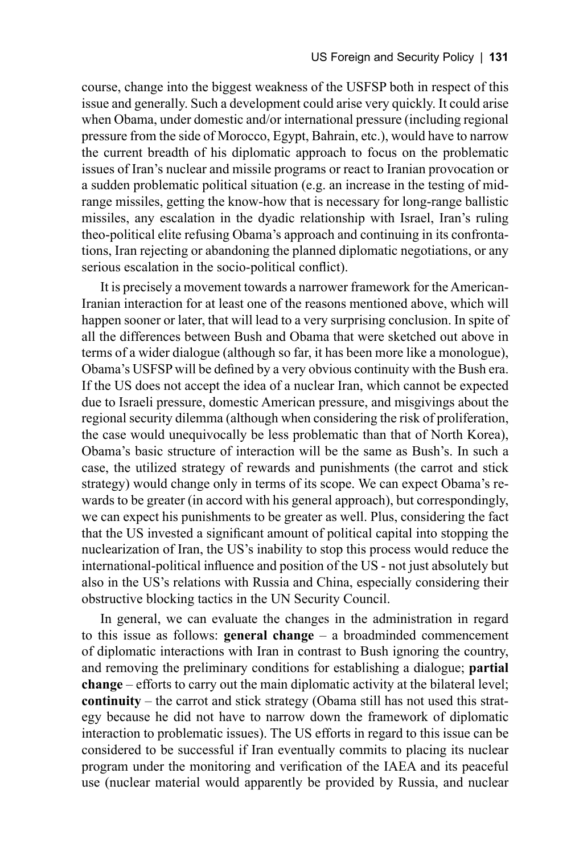course, change into the biggest weakness of the USFSP both in respect of this issue and generally. Such a development could arise very quickly. It could arise when Obama, under domestic and/or international pressure (including regional pressure from the side of Morocco, Egypt, Bahrain, etc.), would have to narrow the current breadth of his diplomatic approach to focus on the problematic issues of Iran's nuclear and missile programs or react to Iranian provocation or a sudden problematic political situation (e.g. an increase in the testing of midrange missiles, getting the know-how that is necessary for long-range ballistic missiles, any escalation in the dyadic relationship with Israel, Iran's ruling theo-political elite refusing Obama's approach and continuing in its confrontations, Iran rejecting or abandoning the planned diplomatic negotiations, or any serious escalation in the socio-political conflict).

It is precisely a movement towards a narrower framework for the American-Iranian interaction for at least one of the reasons mentioned above, which will happen sooner or later, that will lead to a very surprising conclusion. In spite of all the differences between Bush and Obama that were sketched out above in terms of a wider dialogue (although so far, it has been more like a monologue), Obama's USFSP will be defined by a very obvious continuity with the Bush era. If the US does not accept the idea of a nuclear Iran, which cannot be expected due to Israeli pressure, domestic American pressure, and misgivings about the regional security dilemma (although when considering the risk of proliferation, the case would unequivocally be less problematic than that of North Korea), Obama's basic structure of interaction will be the same as Bush's. In such a case, the utilized strategy of rewards and punishments (the carrot and stick strategy) would change only in terms of its scope. We can expect Obama's rewards to be greater (in accord with his general approach), but correspondingly, we can expect his punishments to be greater as well. Plus, considering the fact that the US invested a significant amount of political capital into stopping the nuclearization of Iran, the US's inability to stop this process would reduce the international-political influence and position of the US - not just absolutely but also in the US's relations with Russia and China, especially considering their obstructive blocking tactics in the UN Security Council.

In general, we can evaluate the changes in the administration in regard to this issue as follows: **general change** – a broadminded commencement of diplomatic interactions with Iran in contrast to Bush ignoring the country, and removing the preliminary conditions for establishing a dialogue; **partial change** – efforts to carry out the main diplomatic activity at the bilateral level; **continuity** – the carrot and stick strategy (Obama still has not used this strategy because he did not have to narrow down the framework of diplomatic interaction to problematic issues). The US efforts in regard to this issue can be considered to be successful if Iran eventually commits to placing its nuclear program under the monitoring and verification of the IAEA and its peaceful use (nuclear material would apparently be provided by Russia, and nuclear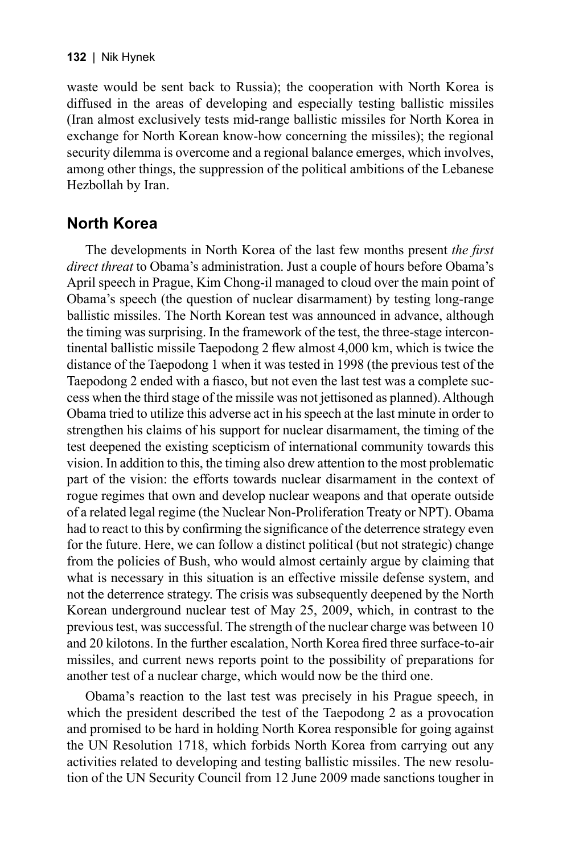#### **132** | Nik Hynek

waste would be sent back to Russia); the cooperation with North Korea is diffused in the areas of developing and especially testing ballistic missiles (Iran almost exclusively tests mid-range ballistic missiles for North Korea in exchange for North Korean know-how concerning the missiles); the regional security dilemma is overcome and a regional balance emerges, which involves, among other things, the suppression of the political ambitions of the Lebanese Hezbollah by Iran.

### **North Korea**

The developments in North Korea of the last few months present *the first direct threat* to Obama's administration. Just a couple of hours before Obama's April speech in Prague, Kim Chong-il managed to cloud over the main point of Obama's speech (the question of nuclear disarmament) by testing long-range ballistic missiles. The North Korean test was announced in advance, although the timing was surprising. In the framework of the test, the three-stage intercontinental ballistic missile Taepodong  $2$  flew almost  $4,000$  km, which is twice the distance of the Taepodong 1 when it was tested in 1998 (the previous test of the Taepodong 2 ended with a fiasco, but not even the last test was a complete success when the third stage of the missile was not jettisoned as planned). Although Obama tried to utilize this adverse act in his speech at the last minute in order to strengthen his claims of his support for nuclear disarmament, the timing of the test deepened the existing scepticism of international community towards this vision. In addition to this, the timing also drew attention to the most problematic part of the vision: the efforts towards nuclear disarmament in the context of rogue regimes that own and develop nuclear weapons and that operate outside of a related legal regime (the Nuclear Non-Proliferation Treaty or NPT). Obama had to react to this by confirming the significance of the deterrence strategy even for the future. Here, we can follow a distinct political (but not strategic) change from the policies of Bush, who would almost certainly argue by claiming that what is necessary in this situation is an effective missile defense system, and not the deterrence strategy. The crisis was subsequently deepened by the North Korean underground nuclear test of May 25, 2009, which, in contrast to the previous test, was successful. The strength of the nuclear charge was between 10 and 20 kilotons. In the further escalation, North Korea fired three surface-to-air missiles, and current news reports point to the possibility of preparations for another test of a nuclear charge, which would now be the third one.

Obama's reaction to the last test was precisely in his Prague speech, in which the president described the test of the Taepodong 2 as a provocation and promised to be hard in holding North Korea responsible for going against the UN Resolution 1718, which forbids North Korea from carrying out any activities related to developing and testing ballistic missiles. The new resolution of the UN Security Council from 12 June 2009 made sanctions tougher in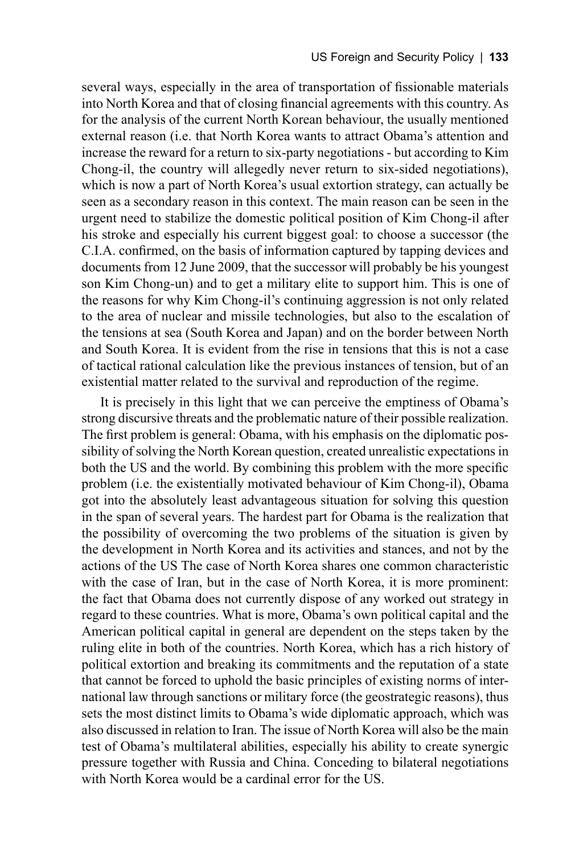several ways, especially in the area of transportation of fissionable materials into North Korea and that of closing financial agreements with this country. As for the analysis of the current North Korean behaviour, the usually mentioned external reason (i.e. that North Korea wants to attract Obama's attention and increase the reward for a return to six-party negotiations - but according to Kim Chong-il, the country will allegedly never return to six-sided negotiations), which is now a part of North Korea's usual extortion strategy, can actually be seen as a secondary reason in this context. The main reason can be seen in the urgent need to stabilize the domestic political position of Kim Chong-il after his stroke and especially his current biggest goal: to choose a successor (the C.I.A. confirmed, on the basis of information captured by tapping devices and documents from 12 June 2009, that the successor will probably be his youngest son Kim Chong-un) and to get a military elite to support him. This is one of the reasons for why Kim Chong-il's continuing aggression is not only related to the area of nuclear and missile technologies, but also to the escalation of the tensions at sea (South Korea and Japan) and on the border between North and South Korea. It is evident from the rise in tensions that this is not a case of tactical rational calculation like the previous instances of tension, but of an existential matter related to the survival and reproduction of the regime.

It is precisely in this light that we can perceive the emptiness of Obama's strong discursive threats and the problematic nature of their possible realization. The first problem is general: Obama, with his emphasis on the diplomatic possibility of solving the North Korean question, created unrealistic expectations in both the US and the world. By combining this problem with the more specific problem (i.e. the existentially motivated behaviour of Kim Chong-il), Obama got into the absolutely least advantageous situation for solving this question in the span of several years. The hardest part for Obama is the realization that the possibility of overcoming the two problems of the situation is given by the development in North Korea and its activities and stances, and not by the actions of the US The case of North Korea shares one common characteristic with the case of Iran, but in the case of North Korea, it is more prominent: the fact that Obama does not currently dispose of any worked out strategy in regard to these countries. What is more, Obama's own political capital and the American political capital in general are dependent on the steps taken by the ruling elite in both of the countries. North Korea, which has a rich history of political extortion and breaking its commitments and the reputation of a state that cannot be forced to uphold the basic principles of existing norms of international law through sanctions or military force (the geostrategic reasons), thus sets the most distinct limits to Obama's wide diplomatic approach, which was also discussed in relation to Iran. The issue of North Korea will also be the main test of Obama's multilateral abilities, especially his ability to create synergic pressure together with Russia and China. Conceding to bilateral negotiations with North Korea would be a cardinal error for the US.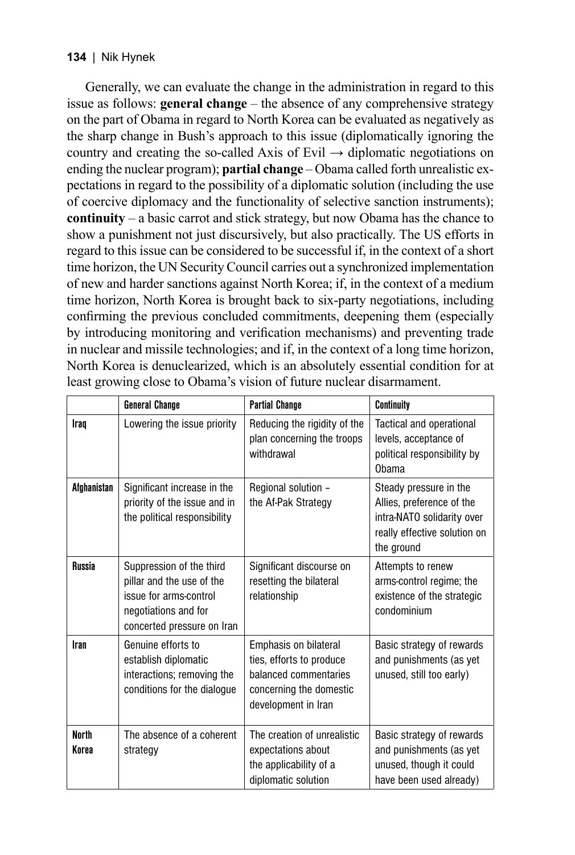#### **134** | Nik Hynek

Generally, we can evaluate the change in the administration in regard to this issue as follows: **general change** – the absence of any comprehensive strategy on the part of Obama in regard to North Korea can be evaluated as negatively as the sharp change in Bush's approach to this issue (diplomatically ignoring the country and creating the so-called Axis of Evil  $\rightarrow$  diplomatic negotiations on ending the nuclear program); **partial change** – Obama called forth unrealistic expectations in regard to the possibility of a diplomatic solution (including the use of coercive diplomacy and the functionality of selective sanction instruments); **continuity** – a basic carrot and stick strategy, but now Obama has the chance to show a punishment not just discursively, but also practically. The US efforts in regard to this issue can be considered to be successful if, in the context of a short time horizon, the UN Security Council carries out a synchronized implementation of new and harder sanctions against North Korea; if, in the context of a medium time horizon, North Korea is brought back to six-party negotiations, including confirming the previous concluded commitments, deepening them (especially by introducing monitoring and verification mechanisms) and preventing trade in nuclear and missile technologies; and if, in the context of a long time horizon, North Korea is denuclearized, which is an absolutely essential condition for at least growing close to Obama's vision of future nuclear disarmament.

|                       | <b>General Change</b>                                                                                                                 | <b>Partial Change</b>                                                                                                        | <b>Continuity</b>                                                                                                               |
|-----------------------|---------------------------------------------------------------------------------------------------------------------------------------|------------------------------------------------------------------------------------------------------------------------------|---------------------------------------------------------------------------------------------------------------------------------|
| Iraq                  | Lowering the issue priority                                                                                                           | Reducing the rigidity of the<br>plan concerning the troops<br>withdrawal                                                     | Tactical and operational<br>levels, acceptance of<br>political responsibility by<br>Ohama                                       |
| Afghanistan           | Significant increase in the<br>priority of the issue and in<br>the political responsibility                                           | Regional solution -<br>the Af-Pak Strategy                                                                                   | Steady pressure in the<br>Allies, preference of the<br>intra-NATO solidarity over<br>really effective solution on<br>the ground |
| <b>Russia</b>         | Suppression of the third<br>pillar and the use of the<br>issue for arms-control<br>negotiations and for<br>concerted pressure on Iran | Significant discourse on<br>resetting the bilateral<br>relationship                                                          | Attempts to renew<br>arms-control regime; the<br>existence of the strategic<br>condominium                                      |
| Iran                  | Genuine efforts to<br>establish diplomatic<br>interactions; removing the<br>conditions for the dialogue                               | Emphasis on bilateral<br>ties, efforts to produce<br>balanced commentaries<br>concerning the domestic<br>development in Iran | Basic strategy of rewards<br>and punishments (as yet<br>unused, still too early)                                                |
| <b>North</b><br>Korea | The absence of a coherent<br>strategy                                                                                                 | The creation of unrealistic<br>expectations about<br>the applicability of a<br>diplomatic solution                           | Basic strategy of rewards<br>and punishments (as yet<br>unused, though it could<br>have been used already)                      |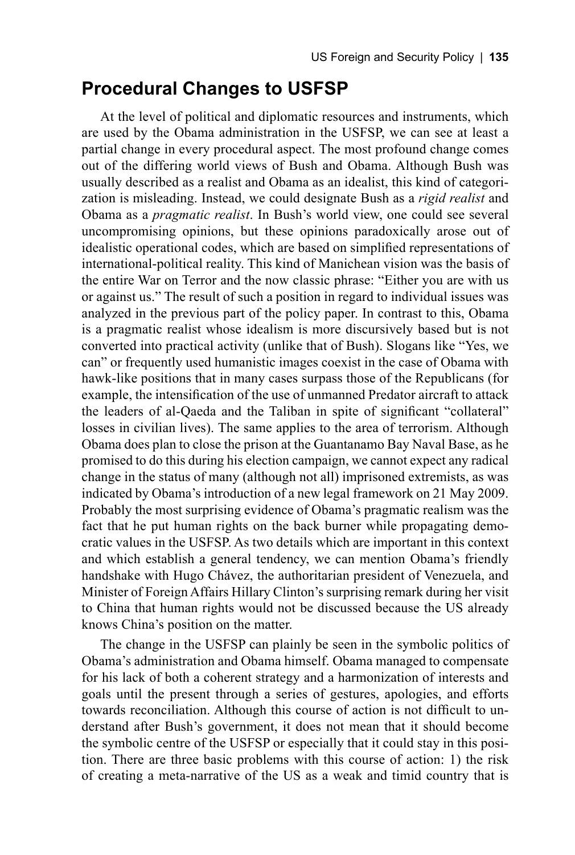### **Procedural Changes to USFSP**

At the level of political and diplomatic resources and instruments, which are used by the Obama administration in the USFSP, we can see at least a partial change in every procedural aspect. The most profound change comes out of the differing world views of Bush and Obama. Although Bush was usually described as a realist and Obama as an idealist, this kind of categorization is misleading. Instead, we could designate Bush as a *rigid realist* and Obama as a *pragmatic realist*. In Bush's world view, one could see several uncompromising opinions, but these opinions paradoxically arose out of idealistic operational codes, which are based on simplified representations of international-political reality. This kind of Manichean vision was the basis of the entire War on Terror and the now classic phrase: "Either you are with us or against us." The result of such a position in regard to individual issues was analyzed in the previous part of the policy paper. In contrast to this, Obama is a pragmatic realist whose idealism is more discursively based but is not converted into practical activity (unlike that of Bush). Slogans like "Yes, we can" or frequently used humanistic images coexist in the case of Obama with hawk-like positions that in many cases surpass those of the Republicans (for example, the intensification of the use of unmanned Predator aircraft to attack the leaders of al-Qaeda and the Taliban in spite of significant "collateral" losses in civilian lives). The same applies to the area of terrorism. Although Obama does plan to close the prison at the Guantanamo Bay Naval Base, as he promised to do this during his election campaign, we cannot expect any radical change in the status of many (although not all) imprisoned extremists, as was indicated by Obama's introduction of a new legal framework on 21 May 2009. Probably the most surprising evidence of Obama's pragmatic realism was the fact that he put human rights on the back burner while propagating democratic values in the USFSP. As two details which are important in this context and which establish a general tendency, we can mention Obama's friendly handshake with Hugo Chávez, the authoritarian president of Venezuela, and Minister of Foreign Affairs Hillary Clinton's surprising remark during her visit to China that human rights would not be discussed because the US already knows China's position on the matter.

The change in the USFSP can plainly be seen in the symbolic politics of Obama's administration and Obama himself. Obama managed to compensate for his lack of both a coherent strategy and a harmonization of interests and goals until the present through a series of gestures, apologies, and efforts towards reconciliation. Although this course of action is not difficult to understand after Bush's government, it does not mean that it should become the symbolic centre of the USFSP or especially that it could stay in this position. There are three basic problems with this course of action: 1) the risk of creating a meta-narrative of the US as a weak and timid country that is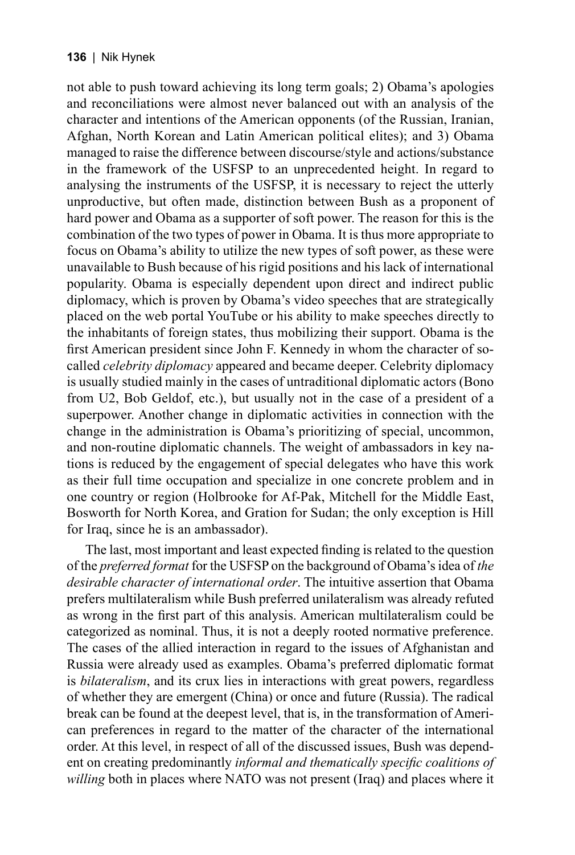not able to push toward achieving its long term goals; 2) Obama's apologies and reconciliations were almost never balanced out with an analysis of the character and intentions of the American opponents (of the Russian, Iranian, Afghan, North Korean and Latin American political elites); and 3) Obama managed to raise the difference between discourse/style and actions/substance in the framework of the USFSP to an unprecedented height. In regard to analysing the instruments of the USFSP, it is necessary to reject the utterly unproductive, but often made, distinction between Bush as a proponent of hard power and Obama as a supporter of soft power. The reason for this is the combination of the two types of power in Obama. It is thus more appropriate to focus on Obama's ability to utilize the new types of soft power, as these were unavailable to Bush because of his rigid positions and his lack of international popularity. Obama is especially dependent upon direct and indirect public diplomacy, which is proven by Obama's video speeches that are strategically placed on the web portal YouTube or his ability to make speeches directly to the inhabitants of foreign states, thus mobilizing their support. Obama is the first American president since John F. Kennedy in whom the character of socalled *celebrity diplomacy* appeared and became deeper. Celebrity diplomacy is usually studied mainly in the cases of untraditional diplomatic actors (Bono from U2, Bob Geldof, etc.), but usually not in the case of a president of a superpower. Another change in diplomatic activities in connection with the change in the administration is Obama's prioritizing of special, uncommon, and non-routine diplomatic channels. The weight of ambassadors in key nations is reduced by the engagement of special delegates who have this work as their full time occupation and specialize in one concrete problem and in one country or region (Holbrooke for Af-Pak, Mitchell for the Middle East, Bosworth for North Korea, and Gration for Sudan; the only exception is Hill for Iraq, since he is an ambassador).

The last, most important and least expected finding is related to the question of the *preferred format* for the USFSP on the background of Obama's idea of *the desirable character of international order*. The intuitive assertion that Obama prefers multilateralism while Bush preferred unilateralism was already refuted as wrong in the first part of this analysis. American multilateralism could be categorized as nominal. Thus, it is not a deeply rooted normative preference. The cases of the allied interaction in regard to the issues of Afghanistan and Russia were already used as examples. Obama's preferred diplomatic format is *bilateralism*, and its crux lies in interactions with great powers, regardless of whether they are emergent (China) or once and future (Russia). The radical break can be found at the deepest level, that is, in the transformation of American preferences in regard to the matter of the character of the international order. At this level, in respect of all of the discussed issues, Bush was dependent on creating predominantly *informal and thematically specific coalitions of willing* both in places where NATO was not present (Iraq) and places where it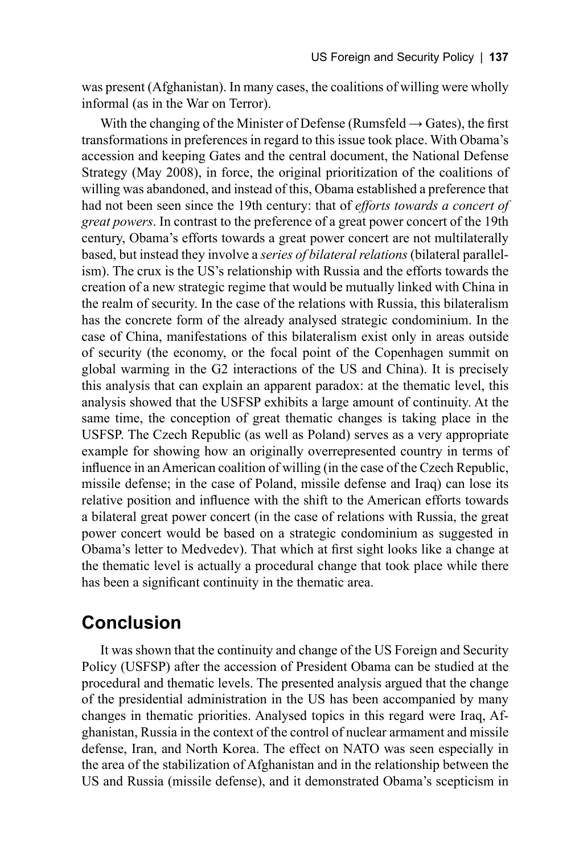was present (Afghanistan). In many cases, the coalitions of willing were wholly informal (as in the War on Terror).

With the changing of the Minister of Defense (Rumsfeld  $\rightarrow$  Gates), the first transformations in preferences in regard to this issue took place. With Obama's accession and keeping Gates and the central document, the National Defense Strategy (May 2008), in force, the original prioritization of the coalitions of willing was abandoned, and instead of this, Obama established a preference that had not been seen since the 19th century: that of *efforts towards a concert of great powers*. In contrast to the preference of a great power concert of the 19th century, Obama's efforts towards a great power concert are not multilaterally based, but instead they involve a *series of bilateral relations* (bilateral parallelism). The crux is the US's relationship with Russia and the efforts towards the creation of a new strategic regime that would be mutually linked with China in the realm of security. In the case of the relations with Russia, this bilateralism has the concrete form of the already analysed strategic condominium. In the case of China, manifestations of this bilateralism exist only in areas outside of security (the economy, or the focal point of the Copenhagen summit on global warming in the G2 interactions of the US and China). It is precisely this analysis that can explain an apparent paradox: at the thematic level, this analysis showed that the USFSP exhibits a large amount of continuity. At the same time, the conception of great thematic changes is taking place in the USFSP. The Czech Republic (as well as Poland) serves as a very appropriate example for showing how an originally overrepresented country in terms of influence in an American coalition of willing (in the case of the Czech Republic, missile defense; in the case of Poland, missile defense and Iraq) can lose its relative position and influence with the shift to the American efforts towards a bilateral great power concert (in the case of relations with Russia, the great power concert would be based on a strategic condominium as suggested in Obama's letter to Medvedev). That which at first sight looks like a change at the thematic level is actually a procedural change that took place while there has been a significant continuity in the thematic area.

# **Conclusion**

It was shown that the continuity and change of the US Foreign and Security Policy (USFSP) after the accession of President Obama can be studied at the procedural and thematic levels. The presented analysis argued that the change of the presidential administration in the US has been accompanied by many changes in thematic priorities. Analysed topics in this regard were Iraq, Afghanistan, Russia in the context of the control of nuclear armament and missile defense, Iran, and North Korea. The effect on NATO was seen especially in the area of the stabilization of Afghanistan and in the relationship between the US and Russia (missile defense), and it demonstrated Obama's scepticism in